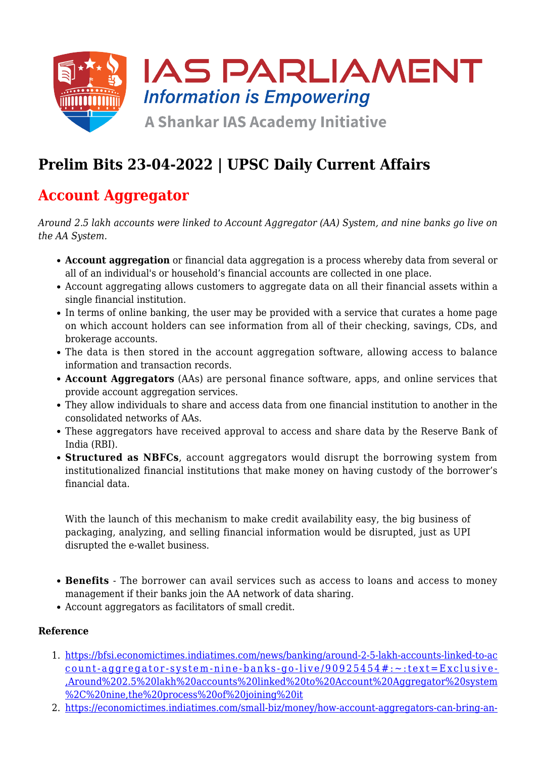

# **Prelim Bits 23-04-2022 | UPSC Daily Current Affairs**

### **Account Aggregator**

*Around 2.5 lakh accounts were linked to Account Aggregator (AA) System, and nine banks go live on the AA System.*

- **Account aggregation** or financial data aggregation is a process whereby data from several or all of an individual's or household's financial accounts are collected in one place.
- Account aggregating allows customers to aggregate data on all their financial assets within a single financial institution.
- In terms of online banking, the user may be provided with a service that curates a home page on which account holders can see information from all of their checking, savings, CDs, and brokerage accounts.
- The data is then stored in the account aggregation software, allowing access to balance information and transaction records.
- **Account Aggregators** (AAs) are personal finance software, apps, and online services that provide account aggregation services.
- They allow individuals to share and access data from one financial institution to another in the consolidated networks of AAs.
- These aggregators have received approval to access and share data by the Reserve Bank of India (RBI).
- **Structured as NBFCs**, account aggregators would disrupt the borrowing system from institutionalized financial institutions that make money on having custody of the borrower's financial data.

With the launch of this mechanism to make credit availability easy, the big business of packaging, analyzing, and selling financial information would be disrupted, just as UPI disrupted the e-wallet business.

- **Benefits**  The borrower can avail services such as access to loans and access to money management if their banks join the AA network of data sharing.
- Account aggregators as facilitators of small credit.

#### **Reference**

- 1. [https://bfsi.economictimes.indiatimes.com/news/banking/around-2-5-lakh-accounts-linked-to-ac](https://bfsi.economictimes.indiatimes.com/news/banking/around-2-5-lakh-accounts-linked-to-account-aggregator-system-nine-banks-go-live/90925454#:~:text=Exclusive-,Around%202.5%20lakh%20accounts%20linked%20to%20Account%20Aggregator%20system%2C%20nine,the%20process%20of%20joining%20it) [count-aggregator-system-nine-banks-go-live/90925454#:~:text=Exclusive-](https://bfsi.economictimes.indiatimes.com/news/banking/around-2-5-lakh-accounts-linked-to-account-aggregator-system-nine-banks-go-live/90925454#:~:text=Exclusive-,Around%202.5%20lakh%20accounts%20linked%20to%20Account%20Aggregator%20system%2C%20nine,the%20process%20of%20joining%20it) [,Around%202.5%20lakh%20accounts%20linked%20to%20Account%20Aggregator%20system](https://bfsi.economictimes.indiatimes.com/news/banking/around-2-5-lakh-accounts-linked-to-account-aggregator-system-nine-banks-go-live/90925454#:~:text=Exclusive-,Around%202.5%20lakh%20accounts%20linked%20to%20Account%20Aggregator%20system%2C%20nine,the%20process%20of%20joining%20it) [%2C%20nine,the%20process%20of%20joining%20it](https://bfsi.economictimes.indiatimes.com/news/banking/around-2-5-lakh-accounts-linked-to-account-aggregator-system-nine-banks-go-live/90925454#:~:text=Exclusive-,Around%202.5%20lakh%20accounts%20linked%20to%20Account%20Aggregator%20system%2C%20nine,the%20process%20of%20joining%20it)
- 2. [https://economictimes.indiatimes.com/small-biz/money/how-account-aggregators-can-bring-an-](https://economictimes.indiatimes.com/small-biz/money/how-account-aggregators-can-bring-an-era-of-democratised-credit/articleshow/87577782.cms)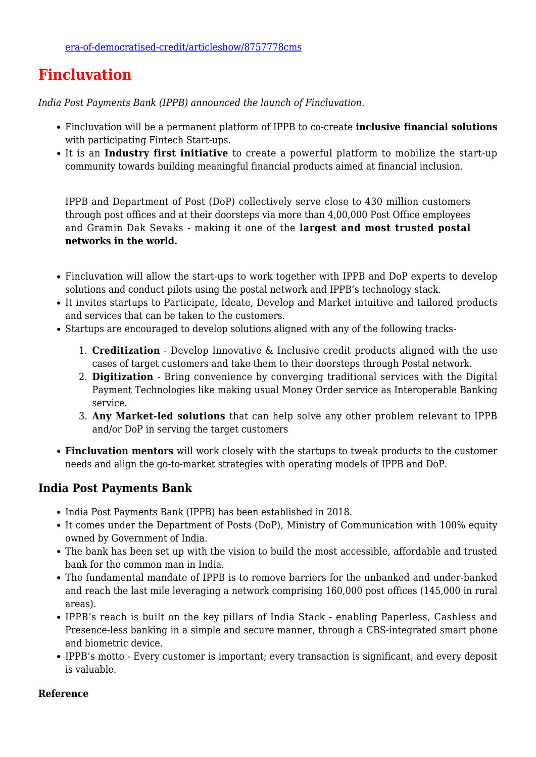### **Fincluvation**

*India Post Payments Bank (IPPB) announced the launch of Fincluvation.*

- Fincluvation will be a permanent platform of IPPB to co-create **inclusive financial solutions** with participating Fintech Start-ups.
- It is an **Industry first initiative** to create a powerful platform to mobilize the start-up community towards building meaningful financial products aimed at financial inclusion.

IPPB and Department of Post (DoP) collectively serve close to 430 million customers through post offices and at their doorsteps via more than 4,00,000 Post Office employees and Gramin Dak Sevaks - making it one of the **largest and most trusted postal networks in the world.**

- Fincluvation will allow the start-ups to work together with IPPB and DoP experts to develop solutions and conduct pilots using the postal network and IPPB's technology stack.
- It invites startups to Participate, Ideate, Develop and Market intuitive and tailored products and services that can be taken to the customers.
- Startups are encouraged to develop solutions aligned with any of the following tracks-
	- 1. **Creditization** Develop Innovative & Inclusive credit products aligned with the use cases of target customers and take them to their doorsteps through Postal network.
	- 2. **Digitization** Bring convenience by converging traditional services with the Digital Payment Technologies like making usual Money Order service as Interoperable Banking service.
	- 3. **Any Market-led solutions** that can help solve any other problem relevant to IPPB and/or DoP in serving the target customers
- **Fincluvation mentors** will work closely with the startups to tweak products to the customer needs and align the go-to-market strategies with operating models of IPPB and DoP.

### **India Post Payments Bank**

- India Post Payments Bank (IPPB) has been established in 2018.
- It comes under the Department of Posts (DoP), Ministry of Communication with 100% equity owned by Government of India.
- The bank has been set up with the vision to build the most accessible, affordable and trusted bank for the common man in India.
- The fundamental mandate of IPPB is to remove barriers for the unbanked and under-banked and reach the last mile leveraging a network comprising 160,000 post offices (145,000 in rural areas).
- IPPB's reach is built on the key pillars of India Stack enabling Paperless, Cashless and Presence-less banking in a simple and secure manner, through a CBS-integrated smart phone and biometric device.
- IPPB's motto Every customer is important; every transaction is significant, and every deposit is valuable.

#### **Reference**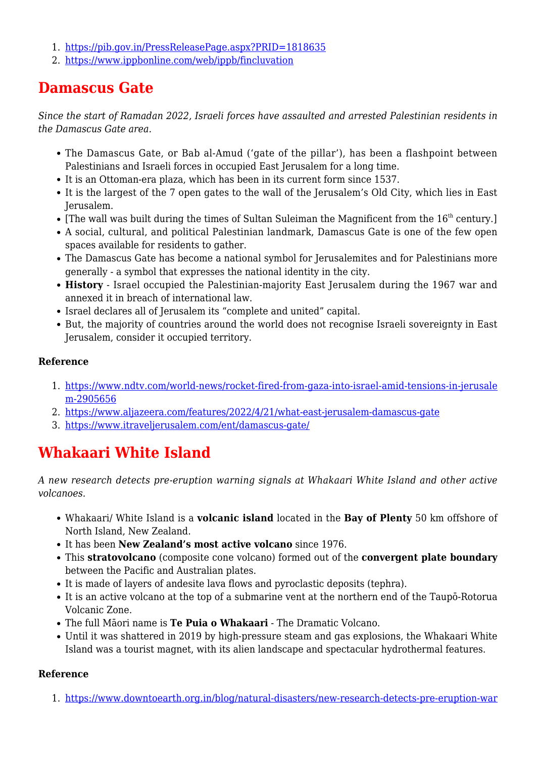- 1. <https://pib.gov.in/PressReleasePage.aspx?PRID=1818635>
- 2. <https://www.ippbonline.com/web/ippb/fincluvation>

## **Damascus Gate**

*Since the start of Ramadan 2022, Israeli forces have assaulted and arrested Palestinian residents in the Damascus Gate area.*

- The Damascus Gate, or Bab al-Amud ('gate of the pillar'), has been a flashpoint between Palestinians and Israeli forces in occupied East Jerusalem for a long time.
- It is an Ottoman-era plaza, which has been in its current form since 1537.
- It is the largest of the 7 open gates to the wall of the Jerusalem's Old City, which lies in East Jerusalem.
- $\bullet$  [The wall was built during the times of Sultan Suleiman the Magnificent from the  $16^{th}$  century.]
- A social, cultural, and political Palestinian landmark, Damascus Gate is one of the few open spaces available for residents to gather.
- The Damascus Gate has become a national symbol for Jerusalemites and for Palestinians more generally - a symbol that expresses the national identity in the city.
- **History** Israel occupied the Palestinian-majority East Jerusalem during the 1967 war and annexed it in breach of international law.
- Israel declares all of Jerusalem its "complete and united" capital.
- But, the majority of countries around the world does not recognise Israeli sovereignty in East Jerusalem, consider it occupied territory.

### **Reference**

- 1. [https://www.ndtv.com/world-news/rocket-fired-from-gaza-into-israel-amid-tensions-in-jerusale](https://www.ndtv.com/world-news/rocket-fired-from-gaza-into-israel-amid-tensions-in-jerusalem-2905656) [m-2905656](https://www.ndtv.com/world-news/rocket-fired-from-gaza-into-israel-amid-tensions-in-jerusalem-2905656)
- 2. <https://www.aljazeera.com/features/2022/4/21/what-east-jerusalem-damascus-gate>
- 3. <https://www.itraveljerusalem.com/ent/damascus-gate/>

# **Whakaari White Island**

*A new research detects pre-eruption warning signals at Whakaari White Island and other active volcanoes.*

- Whakaari/ White Island is a **volcanic island** located in the **Bay of Plenty** 50 km offshore of North Island, New Zealand.
- It has been **New Zealand's most active volcano** since 1976.
- This **stratovolcano** (composite cone volcano) formed out of the **convergent plate boundary** between the Pacific and Australian plates.
- It is made of layers of andesite lava flows and pyroclastic deposits (tephra).
- It is an active volcano at the top of a submarine vent at the northern end of the Taupō-Rotorua Volcanic Zone.
- The full Māori name is **Te Puia o Whakaari** The Dramatic Volcano.
- Until it was shattered in 2019 by high-pressure steam and gas explosions, the Whakaari White Island was a tourist magnet, with its alien landscape and spectacular hydrothermal features.

#### **Reference**

1. [https://www.downtoearth.org.in/blog/natural-disasters/new-research-detects-pre-eruption-war](https://www.downtoearth.org.in/blog/natural-disasters/new-research-detects-pre-eruption-warning-signals-at-whakaari-white-island-and-other-active-volcanoes-82486)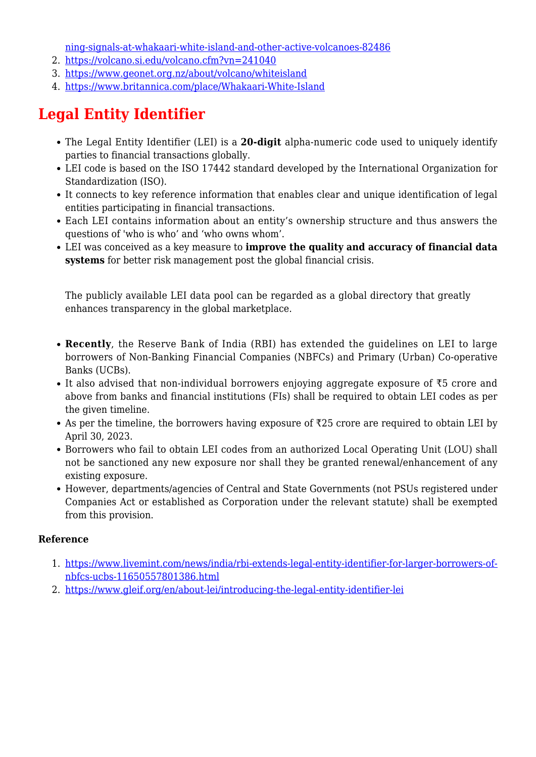[ning-signals-at-whakaari-white-island-and-other-active-volcanoes-82486](https://www.downtoearth.org.in/blog/natural-disasters/new-research-detects-pre-eruption-warning-signals-at-whakaari-white-island-and-other-active-volcanoes-82486)

- 2. <https://volcano.si.edu/volcano.cfm?vn=241040>
- 3. <https://www.geonet.org.nz/about/volcano/whiteisland>
- 4. <https://www.britannica.com/place/Whakaari-White-Island>

# **Legal Entity Identifier**

- The Legal Entity Identifier (LEI) is a **20-digit** alpha-numeric code used to uniquely identify parties to financial transactions globally.
- LEI code is based on the ISO 17442 standard developed by the International Organization for Standardization (ISO).
- It connects to key reference information that enables clear and unique identification of legal entities participating in financial transactions.
- Each LEI contains information about an entity's ownership structure and thus answers the questions of 'who is who' and 'who owns whom'.
- LEI was conceived as a key measure to **improve the quality and accuracy of financial data systems** for better risk management post the global financial crisis.

The publicly available LEI data pool can be regarded as a global directory that greatly enhances transparency in the global marketplace.

- **Recently**, the Reserve Bank of India (RBI) has extended the guidelines on LEI to large borrowers of Non-Banking Financial Companies (NBFCs) and Primary (Urban) Co-operative Banks (UCBs).
- It also advised that non-individual borrowers enjoying aggregate exposure of  $\overline{\tau}5$  crore and above from banks and financial institutions (FIs) shall be required to obtain LEI codes as per the given timeline.
- As per the timeline, the borrowers having exposure of ₹25 crore are required to obtain LEI by April 30, 2023.
- Borrowers who fail to obtain LEI codes from an authorized Local Operating Unit (LOU) shall not be sanctioned any new exposure nor shall they be granted renewal/enhancement of any existing exposure.
- However, departments/agencies of Central and State Governments (not PSUs registered under Companies Act or established as Corporation under the relevant statute) shall be exempted from this provision.

### **Reference**

- 1. [https://www.livemint.com/news/india/rbi-extends-legal-entity-identifier-for-larger-borrowers-of](https://www.livemint.com/news/india/rbi-extends-legal-entity-identifier-for-larger-borrowers-of-nbfcs-ucbs-11650557801386.html)[nbfcs-ucbs-11650557801386.html](https://www.livemint.com/news/india/rbi-extends-legal-entity-identifier-for-larger-borrowers-of-nbfcs-ucbs-11650557801386.html)
- 2. <https://www.gleif.org/en/about-lei/introducing-the-legal-entity-identifier-lei>